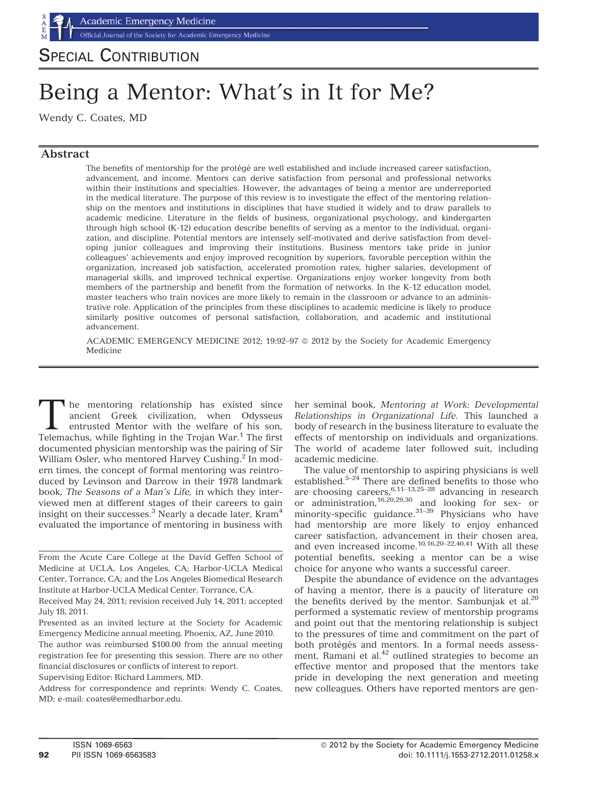Official Journal of the Society for Academic Emergency Medicine

# SPECIAL CONTRIBUTION

# Being a Mentor: What's in It for Me?

Wendy C. Coates, MD

# Abstract

The benefits of mentorship for the protégé are well established and include increased career satisfaction, advancement, and income. Mentors can derive satisfaction from personal and professional networks within their institutions and specialties. However, the advantages of being a mentor are underreported in the medical literature. The purpose of this review is to investigate the effect of the mentoring relationship on the mentors and institutions in disciplines that have studied it widely and to draw parallels to academic medicine. Literature in the fields of business, organizational psychology, and kindergarten through high school (K-12) education describe benefits of serving as a mentor to the individual, organization, and discipline. Potential mentors are intensely self-motivated and derive satisfaction from developing junior colleagues and improving their institutions. Business mentors take pride in junior colleagues' achievements and enjoy improved recognition by superiors, favorable perception within the organization, increased job satisfaction, accelerated promotion rates, higher salaries, development of managerial skills, and improved technical expertise. Organizations enjoy worker longevity from both members of the partnership and benefit from the formation of networks. In the K-12 education model, master teachers who train novices are more likely to remain in the classroom or advance to an administrative role. Application of the principles from these disciplines to academic medicine is likely to produce similarly positive outcomes of personal satisfaction, collaboration, and academic and institutional advancement.

ACADEMIC EMERGENCY MEDICINE 2012; 19:92-97 @ 2012 by the Society for Academic Emergency Medicine

The mentoring relationship has existed since<br>ancient Greek civilization, when Odysseus<br>entrusted Mentor with the welfare of his son,<br>Telemachus while fighting in the Troian War<sup>1</sup> The first ancient Greek civilization, when Odysseus entrusted Mentor with the welfare of his son, Telemachus, while fighting in the Trojan War. $<sup>1</sup>$  The first</sup> documented physician mentorship was the pairing of Sir William Osler, who mentored Harvey Cushing.<sup>2</sup> In modern times, the concept of formal mentoring was reintroduced by Levinson and Darrow in their 1978 landmark book, The Seasons of a Man's Life, in which they interviewed men at different stages of their careers to gain insight on their successes. $3$  Nearly a decade later, Kram<sup>4</sup> evaluated the importance of mentoring in business with

The author was reimbursed \$100.00 from the annual meeting registration fee for presenting this session. There are no other financial disclosures or conflicts of interest to report.

Supervising Editor: Richard Lammers, MD.

Address for correspondence and reprints: Wendy C. Coates, MD; e-mail: coates@emedharbor.edu.

her seminal book, Mentoring at Work: Developmental Relationships in Organizational Life. This launched a body of research in the business literature to evaluate the effects of mentorship on individuals and organizations. The world of academe later followed suit, including academic medicine.

The value of mentorship to aspiring physicians is well established. $5-24$  There are defined benefits to those who are choosing careers,6,11–13,25–28 advancing in research are choosing careers,  $\frac{16,20,29,30}{2}$  and looking for sex- or minority-specific guidance. $31-39$  Physicians who have had mentorship are more likely to enjoy enhanced career satisfaction, advancement in their chosen area, and even increased income.10,16,20–22,40,41 With all these potential benefits, seeking a mentor can be a wise choice for anyone who wants a successful career.

Despite the abundance of evidence on the advantages of having a mentor, there is a paucity of literature on the benefits derived by the mentor. Sambunjak et al.<sup>20</sup> performed a systematic review of mentorship programs and point out that the mentoring relationship is subject to the pressures of time and commitment on the part of both protégés and mentors. In a formal needs assessment, Ramani et al. $42$  outlined strategies to become an effective mentor and proposed that the mentors take pride in developing the next generation and meeting new colleagues. Others have reported mentors are gen-

From the Acute Care College at the David Geffen School of Medicine at UCLA, Los Angeles, CA; Harbor-UCLA Medical Center, Torrance, CA; and the Los Angeles Biomedical Research Institute at Harbor-UCLA Medical Center, Torrance, CA. Received May 24, 2011; revision received July 14, 2011; accepted

July 18, 2011.

Presented as an invited lecture at the Society for Academic Emergency Medicine annual meeting, Phoenix, AZ, June 2010.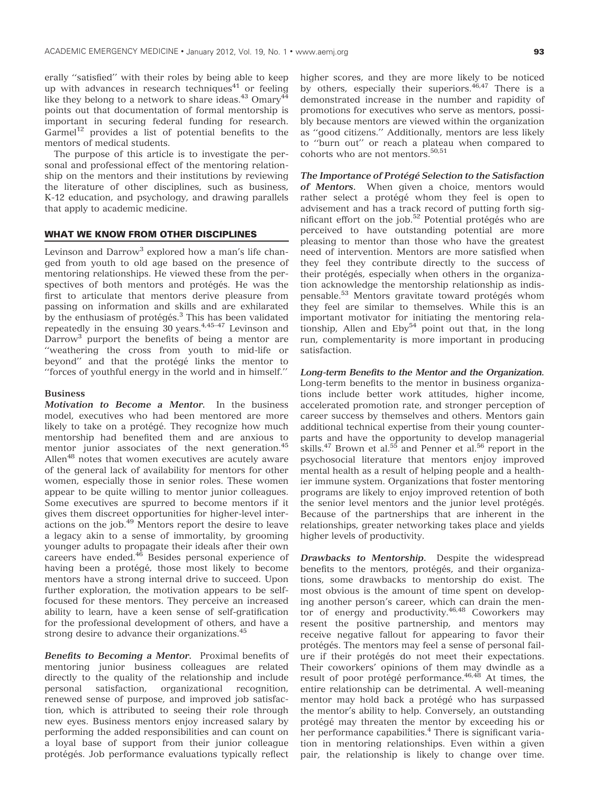erally ''satisfied'' with their roles by being able to keep up with advances in research techniques $^{41}$  or feeling like they belong to a network to share ideas. $^{43}$  Omary $^{44}$ points out that documentation of formal mentorship is important in securing federal funding for research.  $Garmel<sup>12</sup>$  provides a list of potential benefits to the mentors of medical students.

The purpose of this article is to investigate the personal and professional effect of the mentoring relationship on the mentors and their institutions by reviewing the literature of other disciplines, such as business, K-12 education, and psychology, and drawing parallels that apply to academic medicine.

## WHAT WE KNOW FROM OTHER DISCIPLINES

Levinson and Darrow<sup>3</sup> explored how a man's life changed from youth to old age based on the presence of mentoring relationships. He viewed these from the perspectives of both mentors and protégés. He was the first to articulate that mentors derive pleasure from passing on information and skills and are exhilarated by the enthusiasm of protégés.<sup>3</sup> This has been validated repeatedly in the ensuing  $30$  years.<sup>4,45–47</sup> Levinson and Darrow<sup>3</sup> purport the benefits of being a mentor are ''weathering the cross from youth to mid-life or beyond'' and that the protégé links the mentor to ''forces of youthful energy in the world and in himself.''

## Business

Motivation to Become a Mentor. In the business model, executives who had been mentored are more likely to take on a protégé. They recognize how much mentorship had benefited them and are anxious to mentor junior associates of the next generation.<sup>45</sup> Allen<sup>48</sup> notes that women executives are acutely aware of the general lack of availability for mentors for other women, especially those in senior roles. These women appear to be quite willing to mentor junior colleagues. Some executives are spurred to become mentors if it gives them discreet opportunities for higher-level interactions on the job.<sup>49</sup> Mentors report the desire to leave a legacy akin to a sense of immortality, by grooming younger adults to propagate their ideals after their own careers have ended.46 Besides personal experience of having been a protégé, those most likely to become mentors have a strong internal drive to succeed. Upon further exploration, the motivation appears to be selffocused for these mentors. They perceive an increased ability to learn, have a keen sense of self-gratification for the professional development of others, and have a strong desire to advance their organizations.<sup>45</sup>

Benefits to Becoming a Mentor. Proximal benefits of mentoring junior business colleagues are related directly to the quality of the relationship and include personal satisfaction, organizational recognition, renewed sense of purpose, and improved job satisfaction, which is attributed to seeing their role through new eyes. Business mentors enjoy increased salary by performing the added responsibilities and can count on a loyal base of support from their junior colleague protégés. Job performance evaluations typically reflect higher scores, and they are more likely to be noticed by others, especially their superiors.  $46,47$  There is a demonstrated increase in the number and rapidity of promotions for executives who serve as mentors, possibly because mentors are viewed within the organization as ''good citizens.'' Additionally, mentors are less likely to ''burn out'' or reach a plateau when compared to cohorts who are not mentors.<sup>50,51</sup>

The Importance of Protégé Selection to the Satisfaction of Mentors. When given a choice, mentors would rather select a protégé whom they feel is open to advisement and has a track record of putting forth significant effort on the job.<sup>52</sup> Potential protégés who are perceived to have outstanding potential are more pleasing to mentor than those who have the greatest need of intervention. Mentors are more satisfied when they feel they contribute directly to the success of their protégés, especially when others in the organization acknowledge the mentorship relationship as indispensable.<sup>53</sup> Mentors gravitate toward protégés whom they feel are similar to themselves. While this is an important motivator for initiating the mentoring relationship, Allen and  $Eby<sup>54</sup>$  point out that, in the long run, complementarity is more important in producing satisfaction.

Long-term Benefits to the Mentor and the Organization. Long-term benefits to the mentor in business organizations include better work attitudes, higher income, accelerated promotion rate, and stronger perception of career success by themselves and others. Mentors gain additional technical expertise from their young counterparts and have the opportunity to develop managerial skills.<sup>47</sup> Brown et al.<sup>55</sup> and Penner et al.<sup>56</sup> report in the psychosocial literature that mentors enjoy improved mental health as a result of helping people and a healthier immune system. Organizations that foster mentoring programs are likely to enjoy improved retention of both the senior level mentors and the junior level protégés. Because of the partnerships that are inherent in the relationships, greater networking takes place and yields higher levels of productivity.

Drawbacks to Mentorship. Despite the widespread benefits to the mentors, protégés, and their organizations, some drawbacks to mentorship do exist. The most obvious is the amount of time spent on developing another person's career, which can drain the mentor of energy and productivity.<sup>46,48</sup> Coworkers may resent the positive partnership, and mentors may receive negative fallout for appearing to favor their protégés. The mentors may feel a sense of personal failure if their protégés do not meet their expectations. Their coworkers' opinions of them may dwindle as a result of poor protégé performance. $46,48$  At times, the entire relationship can be detrimental. A well-meaning mentor may hold back a protégé who has surpassed the mentor's ability to help. Conversely, an outstanding protégé may threaten the mentor by exceeding his or her performance capabilities.<sup>4</sup> There is significant variation in mentoring relationships. Even within a given pair, the relationship is likely to change over time.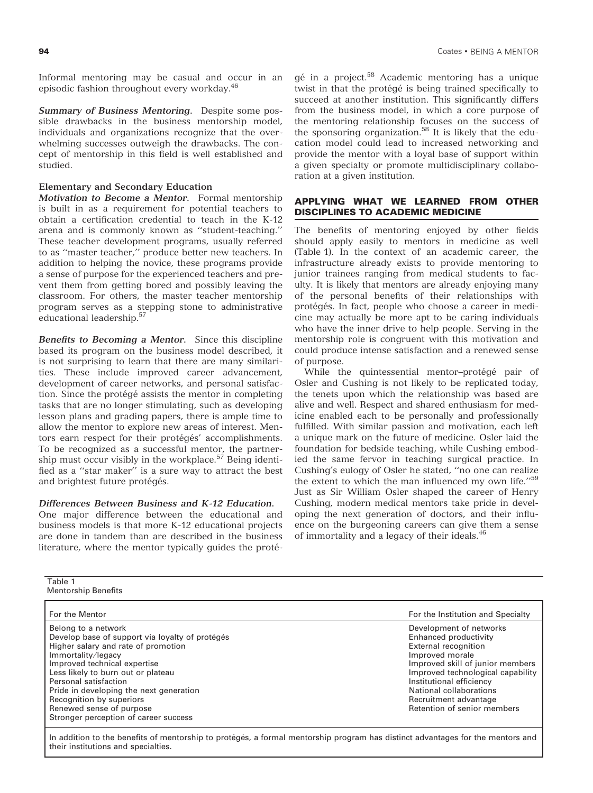Informal mentoring may be casual and occur in an episodic fashion throughout every workday.46

Summary of Business Mentoring. Despite some possible drawbacks in the business mentorship model, individuals and organizations recognize that the overwhelming successes outweigh the drawbacks. The concept of mentorship in this field is well established and studied.

#### Elementary and Secondary Education

Motivation to Become a Mentor. Formal mentorship is built in as a requirement for potential teachers to obtain a certification credential to teach in the K-12 arena and is commonly known as ''student-teaching.'' These teacher development programs, usually referred to as ''master teacher,'' produce better new teachers. In addition to helping the novice, these programs provide a sense of purpose for the experienced teachers and prevent them from getting bored and possibly leaving the classroom. For others, the master teacher mentorship program serves as a stepping stone to administrative educational leadership.<sup>57</sup>

Benefits to Becoming a Mentor. Since this discipline based its program on the business model described, it is not surprising to learn that there are many similarities. These include improved career advancement, development of career networks, and personal satisfaction. Since the protégé assists the mentor in completing tasks that are no longer stimulating, such as developing lesson plans and grading papers, there is ample time to allow the mentor to explore new areas of interest. Mentors earn respect for their protégés' accomplishments. To be recognized as a successful mentor, the partnership must occur visibly in the workplace.<sup>57</sup> Being identified as a ''star maker'' is a sure way to attract the best and brightest future protégés.

# Differences Between Business and K-12 Education.

One major difference between the educational and business models is that more K-12 educational projects are done in tandem than are described in the business literature, where the mentor typically guides the proté-

their institutions and specialties.

gé in a project.<sup>58</sup> Academic mentoring has a unique twist in that the protégé is being trained specifically to succeed at another institution. This significantly differs from the business model, in which a core purpose of the mentoring relationship focuses on the success of the sponsoring organization.<sup>58</sup> It is likely that the education model could lead to increased networking and provide the mentor with a loyal base of support within a given specialty or promote multidisciplinary collaboration at a given institution.

# APPLYING WHAT WE LEARNED FROM OTHER DISCIPLINES TO ACADEMIC MEDICINE

The benefits of mentoring enjoyed by other fields should apply easily to mentors in medicine as well (Table 1). In the context of an academic career, the infrastructure already exists to provide mentoring to junior trainees ranging from medical students to faculty. It is likely that mentors are already enjoying many of the personal benefits of their relationships with protégés. In fact, people who choose a career in medicine may actually be more apt to be caring individuals who have the inner drive to help people. Serving in the mentorship role is congruent with this motivation and could produce intense satisfaction and a renewed sense of purpose.

While the quintessential mentor–protégé pair of Osler and Cushing is not likely to be replicated today, the tenets upon which the relationship was based are alive and well. Respect and shared enthusiasm for medicine enabled each to be personally and professionally fulfilled. With similar passion and motivation, each left a unique mark on the future of medicine. Osler laid the foundation for bedside teaching, while Cushing embodied the same fervor in teaching surgical practice. In Cushing's eulogy of Osler he stated, ''no one can realize the extent to which the man influenced my own life."<sup>59</sup> Just as Sir William Osler shaped the career of Henry Cushing, modern medical mentors take pride in developing the next generation of doctors, and their influence on the burgeoning careers can give them a sense of immortality and a legacy of their ideals.<sup>46</sup>

| For the Mentor                                  | For the Institution and Specialty |
|-------------------------------------------------|-----------------------------------|
| Belong to a network                             | Development of networks           |
| Develop base of support via loyalty of protégés | Enhanced productivity             |
| Higher salary and rate of promotion             | External recognition              |
| Immortality/legacy                              | Improved morale                   |
| Improved technical expertise                    | Improved skill of junior members  |
| Less likely to burn out or plateau              | Improved technological capability |
| Personal satisfaction                           | Institutional efficiency          |
| Pride in developing the next generation         | National collaborations           |
| Recognition by superiors                        | Recruitment advantage             |
| Renewed sense of purpose                        | Retention of senior members       |
| Stronger perception of career success           |                                   |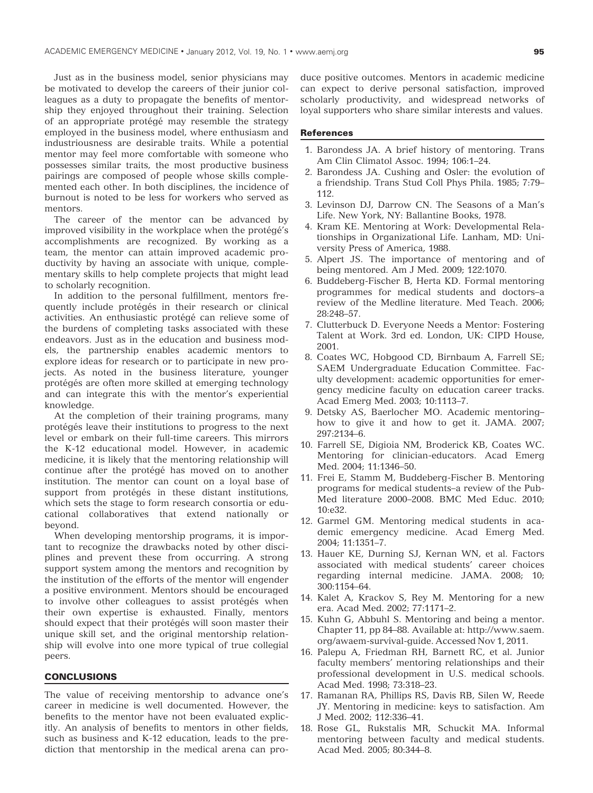Just as in the business model, senior physicians may be motivated to develop the careers of their junior colleagues as a duty to propagate the benefits of mentorship they enjoyed throughout their training. Selection of an appropriate protégé may resemble the strategy employed in the business model, where enthusiasm and industriousness are desirable traits. While a potential mentor may feel more comfortable with someone who possesses similar traits, the most productive business pairings are composed of people whose skills complemented each other. In both disciplines, the incidence of burnout is noted to be less for workers who served as mentors.

The career of the mentor can be advanced by improved visibility in the workplace when the protégé's accomplishments are recognized. By working as a team, the mentor can attain improved academic productivity by having an associate with unique, complementary skills to help complete projects that might lead to scholarly recognition.

In addition to the personal fulfillment, mentors frequently include protégés in their research or clinical activities. An enthusiastic protégé can relieve some of the burdens of completing tasks associated with these endeavors. Just as in the education and business models, the partnership enables academic mentors to explore ideas for research or to participate in new projects. As noted in the business literature, younger protégés are often more skilled at emerging technology and can integrate this with the mentor's experiential knowledge.

At the completion of their training programs, many protégés leave their institutions to progress to the next level or embark on their full-time careers. This mirrors the K-12 educational model. However, in academic medicine, it is likely that the mentoring relationship will continue after the protégé has moved on to another institution. The mentor can count on a loyal base of support from protégés in these distant institutions, which sets the stage to form research consortia or educational collaboratives that extend nationally or beyond.

When developing mentorship programs, it is important to recognize the drawbacks noted by other disciplines and prevent these from occurring. A strong support system among the mentors and recognition by the institution of the efforts of the mentor will engender a positive environment. Mentors should be encouraged to involve other colleagues to assist protégés when their own expertise is exhausted. Finally, mentors should expect that their protégés will soon master their unique skill set, and the original mentorship relationship will evolve into one more typical of true collegial peers.

# CONCLUSIONS

The value of receiving mentorship to advance one's career in medicine is well documented. However, the benefits to the mentor have not been evaluated explicitly. An analysis of benefits to mentors in other fields, such as business and K-12 education, leads to the prediction that mentorship in the medical arena can produce positive outcomes. Mentors in academic medicine can expect to derive personal satisfaction, improved scholarly productivity, and widespread networks of loyal supporters who share similar interests and values.

# References

- 1. Barondess JA. A brief history of mentoring. Trans Am Clin Climatol Assoc. 1994; 106:1–24.
- 2. Barondess JA. Cushing and Osler: the evolution of a friendship. Trans Stud Coll Phys Phila. 1985; 7:79– 112.
- 3. Levinson DJ, Darrow CN. The Seasons of a Man's Life. New York, NY: Ballantine Books, 1978.
- 4. Kram KE. Mentoring at Work: Developmental Relationships in Organizational Life. Lanham, MD: University Press of America, 1988.
- 5. Alpert JS. The importance of mentoring and of being mentored. Am J Med. 2009; 122:1070.
- 6. Buddeberg-Fischer B, Herta KD. Formal mentoring programmes for medical students and doctors–a review of the Medline literature. Med Teach. 2006; 28:248–57.
- 7. Clutterbuck D. Everyone Needs a Mentor: Fostering Talent at Work. 3rd ed. London, UK: CIPD House, 2001.
- 8. Coates WC, Hobgood CD, Birnbaum A, Farrell SE; SAEM Undergraduate Education Committee. Faculty development: academic opportunities for emergency medicine faculty on education career tracks. Acad Emerg Med. 2003; 10:1113–7.
- 9. Detsky AS, Baerlocher MO. Academic mentoring– how to give it and how to get it. JAMA. 2007; 297:2134–6.
- 10. Farrell SE, Digioia NM, Broderick KB, Coates WC. Mentoring for clinician-educators. Acad Emerg Med. 2004; 11:1346–50.
- 11. Frei E, Stamm M, Buddeberg-Fischer B. Mentoring programs for medical students–a review of the Pub-Med literature 2000–2008. BMC Med Educ. 2010;  $10.632$
- 12. Garmel GM. Mentoring medical students in academic emergency medicine. Acad Emerg Med. 2004; 11:1351–7.
- 13. Hauer KE, Durning SJ, Kernan WN, et al. Factors associated with medical students' career choices regarding internal medicine. JAMA. 2008; 10; 300:1154–64.
- 14. Kalet A, Krackov S, Rey M. Mentoring for a new era. Acad Med. 2002; 77:1171–2.
- 15. Kuhn G, Abbuhl S. Mentoring and being a mentor. Chapter 11, pp 84–88. Available at: http://www.saem. org/awaem-survival-guide. Accessed Nov 1, 2011.
- 16. Palepu A, Friedman RH, Barnett RC, et al. Junior faculty members' mentoring relationships and their professional development in U.S. medical schools. Acad Med. 1998; 73:318–23.
- 17. Ramanan RA, Phillips RS, Davis RB, Silen W, Reede JY. Mentoring in medicine: keys to satisfaction. Am J Med. 2002; 112:336–41.
- 18. Rose GL, Rukstalis MR, Schuckit MA. Informal mentoring between faculty and medical students. Acad Med. 2005; 80:344–8.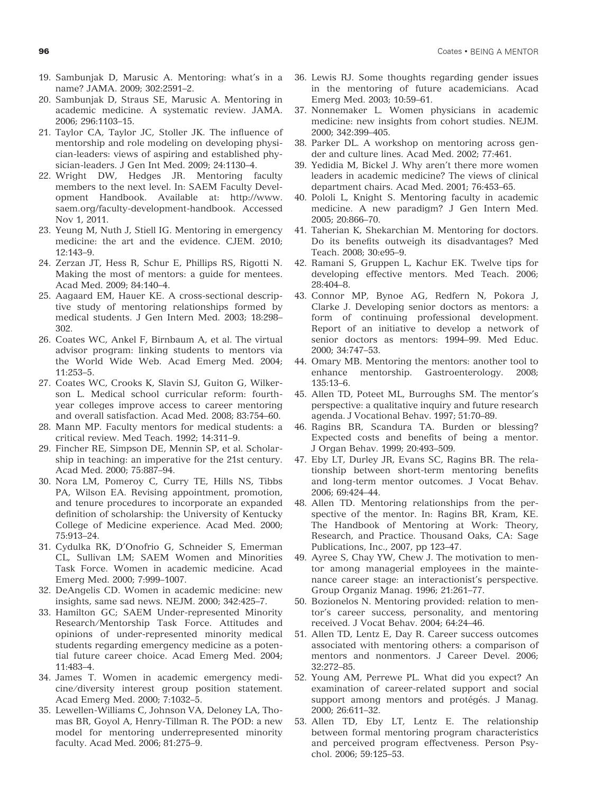- 19. Sambunjak D, Marusic A. Mentoring: what's in a name? JAMA. 2009; 302:2591–2.
- 20. Sambunjak D, Straus SE, Marusic A. Mentoring in academic medicine. A systematic review. JAMA. 2006; 296:1103–15.
- 21. Taylor CA, Taylor JC, Stoller JK. The influence of mentorship and role modeling on developing physician-leaders: views of aspiring and established physician-leaders. J Gen Int Med. 2009; 24:1130–4.
- 22. Wright DW, Hedges JR. Mentoring faculty members to the next level. In: SAEM Faculty Development Handbook. Available at: http://www. saem.org/faculty-development-handbook. Accessed Nov 1, 2011.
- 23. Yeung M, Nuth J, Stiell IG. Mentoring in emergency medicine: the art and the evidence. CJEM. 2010; 12:143–9.
- 24. Zerzan JT, Hess R, Schur E, Phillips RS, Rigotti N. Making the most of mentors: a guide for mentees. Acad Med. 2009; 84:140–4.
- 25. Aagaard EM, Hauer KE. A cross-sectional descriptive study of mentoring relationships formed by medical students. J Gen Intern Med. 2003; 18:298– 302.
- 26. Coates WC, Ankel F, Birnbaum A, et al. The virtual advisor program: linking students to mentors via the World Wide Web. Acad Emerg Med. 2004; 11:253–5.
- 27. Coates WC, Crooks K, Slavin SJ, Guiton G, Wilkerson L. Medical school curricular reform: fourthyear colleges improve access to career mentoring and overall satisfaction. Acad Med. 2008; 83:754–60.
- 28. Mann MP. Faculty mentors for medical students: a critical review. Med Teach. 1992; 14:311–9.
- 29. Fincher RE, Simpson DE, Mennin SP, et al. Scholarship in teaching: an imperative for the 21st century. Acad Med. 2000; 75:887–94.
- 30. Nora LM, Pomeroy C, Curry TE, Hills NS, Tibbs PA, Wilson EA. Revising appointment, promotion, and tenure procedures to incorporate an expanded definition of scholarship: the University of Kentucky College of Medicine experience. Acad Med. 2000; 75:913–24.
- 31. Cydulka RK, D'Onofrio G, Schneider S, Emerman CL, Sullivan LM; SAEM Women and Minorities Task Force. Women in academic medicine. Acad Emerg Med. 2000; 7:999–1007.
- 32. DeAngelis CD. Women in academic medicine: new insights, same sad news. NEJM. 2000; 342:425–7.
- 33. Hamilton GC; SAEM Under-represented Minority Research/Mentorship Task Force. Attitudes and opinions of under-represented minority medical students regarding emergency medicine as a potential future career choice. Acad Emerg Med. 2004; 11:483–4.
- 34. James T. Women in academic emergency medicine ⁄ diversity interest group position statement. Acad Emerg Med. 2000; 7:1032–5.
- 35. Lewellen-Williams C, Johnson VA, Deloney LA, Thomas BR, Goyol A, Henry-Tillman R. The POD: a new model for mentoring underrepresented minority faculty. Acad Med. 2006; 81:275–9.
- 36. Lewis RJ. Some thoughts regarding gender issues in the mentoring of future academicians. Acad Emerg Med. 2003; 10:59–61.
- 37. Nonnemaker L. Women physicians in academic medicine: new insights from cohort studies. NEJM. 2000; 342:399–405.
- 38. Parker DL. A workshop on mentoring across gender and culture lines. Acad Med. 2002; 77:461.
- 39. Yedidia M, Bickel J. Why aren't there more women leaders in academic medicine? The views of clinical department chairs. Acad Med. 2001; 76:453–65.
- 40. Pololi L, Knight S. Mentoring faculty in academic medicine. A new paradigm? J Gen Intern Med. 2005; 20:866–70.
- 41. Taherian K, Shekarchian M. Mentoring for doctors. Do its benefits outweigh its disadvantages? Med Teach. 2008; 30:e95–9.
- 42. Ramani S, Gruppen L, Kachur EK. Twelve tips for developing effective mentors. Med Teach. 2006; 28:404–8.
- 43. Connor MP, Bynoe AG, Redfern N, Pokora J, Clarke J. Developing senior doctors as mentors: a form of continuing professional development. Report of an initiative to develop a network of senior doctors as mentors: 1994–99. Med Educ. 2000; 34:747–53.
- 44. Omary MB. Mentoring the mentors: another tool to enhance mentorship. Gastroenterology. 2008; 135:13–6.
- 45. Allen TD, Poteet ML, Burroughs SM. The mentor's perspective: a qualitative inquiry and future research agenda. J Vocational Behav. 1997; 51:70–89.
- 46. Ragins BR, Scandura TA. Burden or blessing? Expected costs and benefits of being a mentor. J Organ Behav. 1999; 20:493–509.
- 47. Eby LT, Durley JR, Evans SC, Ragins BR. The relationship between short-term mentoring benefits and long-term mentor outcomes. J Vocat Behav. 2006; 69:424–44.
- 48. Allen TD. Mentoring relationships from the perspective of the mentor. In: Ragins BR, Kram, KE. The Handbook of Mentoring at Work: Theory, Research, and Practice. Thousand Oaks, CA: Sage Publications, Inc., 2007, pp 123–47.
- 49. Ayree S, Chay YW, Chew J. The motivation to mentor among managerial employees in the maintenance career stage: an interactionist's perspective. Group Organiz Manag. 1996; 21:261–77.
- 50. Bozionelos N. Mentoring provided: relation to mentor's career success, personality, and mentoring received. J Vocat Behav. 2004; 64:24–46.
- 51. Allen TD, Lentz E, Day R. Career success outcomes associated with mentoring others: a comparison of mentors and nonmentors. J Career Devel. 2006; 32:272–85.
- 52. Young AM, Perrewe PL. What did you expect? An examination of career-related support and social support among mentors and protégés. J Manag. 2000; 26:611–32.
- 53. Allen TD, Eby LT, Lentz E. The relationship between formal mentoring program characteristics and perceived program effectveness. Person Psychol. 2006; 59:125–53.